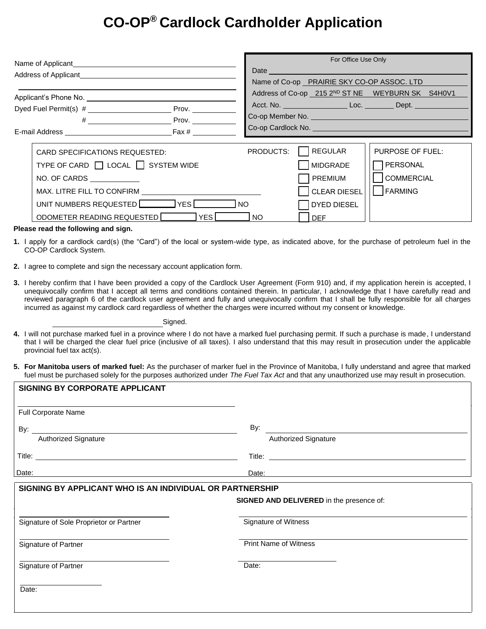# **CO-OP® Cardlock Cardholder Application**

| Name of Applicant Name of Applicant<br>Address of Applicant<br><u>Address of Applicant</u> |                           |                                                                                                                     | For Office Use Only                        |                                                                                                                                                                                                                               |  |
|--------------------------------------------------------------------------------------------|---------------------------|---------------------------------------------------------------------------------------------------------------------|--------------------------------------------|-------------------------------------------------------------------------------------------------------------------------------------------------------------------------------------------------------------------------------|--|
|                                                                                            |                           | Date experience and the contract of the contract of the contract of the contract of the contract of the contract of |                                            |                                                                                                                                                                                                                               |  |
|                                                                                            |                           |                                                                                                                     | Name of Co-op PRAIRIE SKY CO-OP ASSOC. LTD |                                                                                                                                                                                                                               |  |
|                                                                                            |                           |                                                                                                                     |                                            | Address of Co-op 215 2ND ST NE WEYBURN SK S4H0V1                                                                                                                                                                              |  |
|                                                                                            | Prov. $\_\_\_\_\_\_\_\_\$ |                                                                                                                     |                                            |                                                                                                                                                                                                                               |  |
|                                                                                            | $\#$ Prov.                |                                                                                                                     |                                            |                                                                                                                                                                                                                               |  |
| E-mail Address Fax #                                                                       |                           |                                                                                                                     |                                            | Co-op Cardlock No. 2008 - 2009 - 2010 - 2010 - 2010 - 2010 - 2010 - 2010 - 2010 - 2010 - 2010 - 2010 - 2010 - 2010 - 2010 - 2010 - 2010 - 2010 - 2010 - 2010 - 2010 - 2010 - 2010 - 2010 - 2010 - 2010 - 2010 - 2010 - 2010 - |  |
|                                                                                            |                           |                                                                                                                     |                                            |                                                                                                                                                                                                                               |  |
| CARD SPECIFICATIONS REQUESTED:                                                             |                           | PRODUCTS:                                                                                                           | REGULAR                                    | PURPOSE OF FUEL:                                                                                                                                                                                                              |  |
| TYPE OF CARD □ LOCAL □ SYSTEM WIDE                                                         |                           |                                                                                                                     | <b>MIDGRADE</b>                            | <b>PERSONAL</b>                                                                                                                                                                                                               |  |
| NO. OF CARDS NO. 1997                                                                      |                           |                                                                                                                     | <b>PREMIUM</b>                             | <b>COMMERCIAL</b>                                                                                                                                                                                                             |  |
|                                                                                            |                           |                                                                                                                     | <b>CLEAR DIESEL</b>                        | FARMING                                                                                                                                                                                                                       |  |
| UNIT NUMBERS REQUESTED VES VES                                                             |                           |                                                                                                                     | <b>DYED DIESEL</b>                         |                                                                                                                                                                                                                               |  |
| ODOMETER READING REQUESTED                                                                 | l NO                      | <b>DFF</b>                                                                                                          |                                            |                                                                                                                                                                                                                               |  |
| .                                                                                          |                           |                                                                                                                     |                                            |                                                                                                                                                                                                                               |  |

### **Please read the following and sign.**

 **SIGNING BY CORPORATE APPLICANT** 

- **1.** I apply for a cardlock card(s) (the "Card") of the local or system-wide type, as indicated above, for the purchase of petroleum fuel in the CO-OP Cardlock System.
- **2.** I agree to complete and sign the necessary account application form.
- **3.** I hereby confirm that I have been provided a copy of the Cardlock User Agreement (Form 910) and, if my application herein is accepted, I unequivocally confirm that I accept all terms and conditions contained therein. In particular, I acknowledge that I have carefully read and reviewed paragraph 6 of the cardlock user agreement and fully and unequivocally confirm that I shall be fully responsible for all charges incurred as against my cardlock card regardless of whether the charges were incurred without my consent or knowledge.

Signed.

- **4.** I will not purchase marked fuel in a province where I do not have a marked fuel purchasing permit. If such a purchase is made, I understand that I will be charged the clear fuel price (inclusive of all taxes). I also understand that this may result in prosecution under the applicable provincial fuel tax act(s).
- **5. For Manitoba users of marked fuel:** As the purchaser of marker fuel in the Province of Manitoba, I fully understand and agree that marked fuel must be purchased solely for the purposes authorized under *The Fuel Tax Act* and that any unauthorized use may result in prosecution.

| ו וואסום ו ואם בו אווט ושיט ושיטוט      |                                                                                                                                |
|-----------------------------------------|--------------------------------------------------------------------------------------------------------------------------------|
| Full Corporate Name                     |                                                                                                                                |
|                                         | By:                                                                                                                            |
| Authorized Signature                    | Authorized Signature                                                                                                           |
|                                         |                                                                                                                                |
| Date:                                   | Date:<br><u> 1980 - Jan Sterling von De Berger von De Berger von De Berger von De Berger von De Berger von De Berger von D</u> |
| Signature of Sole Proprietor or Partner | <b>SIGNED AND DELIVERED</b> in the presence of:<br>Signature of Witness                                                        |
| Signature of Partner                    | <b>Print Name of Witness</b>                                                                                                   |
| Signature of Partner                    | Date:                                                                                                                          |
| Date:                                   |                                                                                                                                |
|                                         |                                                                                                                                |